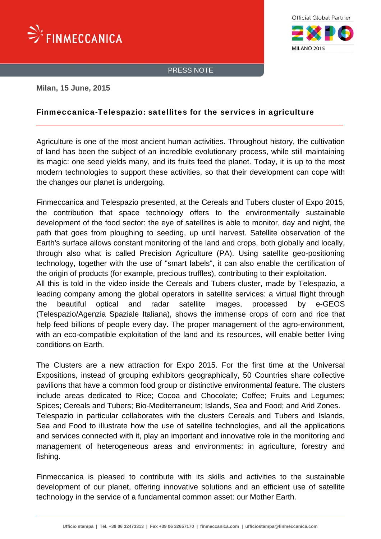



PRESS NOTE

#### **Milan, 15 June, 2015**

### Finmeccanica-Telespazio: satellites for the services in agriculture

Agriculture is one of the most ancient human activities. Throughout history, the cultivation of land has been the subject of an incredible evolutionary process, while still maintaining its magic: one seed yields many, and its fruits feed the planet. Today, it is up to the most modern technologies to support these activities, so that their development can cope with the changes our planet is undergoing.

Finmeccanica and Telespazio presented, at the Cereals and Tubers cluster of Expo 2015, the contribution that space technology offers to the environmentally sustainable development of the food sector: the eye of satellites is able to monitor, day and night, the path that goes from ploughing to seeding, up until harvest. Satellite observation of the Earth's surface allows constant monitoring of the land and crops, both globally and locally, through also what is called Precision Agriculture (PA). Using satellite geo-positioning technology, together with the use of "smart labels", it can also enable the certification of the origin of products (for example, precious truffles), contributing to their exploitation. All this is told in the video inside the Cereals and Tubers cluster, made by Telespazio, a leading company among the global operators in satellite services: a virtual flight through

the beautiful optical and radar satellite images, processed by e-GEOS (Telespazio/Agenzia Spaziale Italiana), shows the immense crops of corn and rice that help feed billions of people every day. The proper management of the agro-environment, with an eco-compatible exploitation of the land and its resources, will enable better living conditions on Earth.

The Clusters are a new attraction for Expo 2015. For the first time at the Universal Expositions, instead of grouping exhibitors geographically, 50 Countries share collective pavilions that have a common food group or distinctive environmental feature. The clusters include areas dedicated to Rice; Cocoa and Chocolate; Coffee; Fruits and Legumes; Spices; Cereals and Tubers; Bio-Mediterraneum; Islands, Sea and Food; and Arid Zones. Telespazio in particular collaborates with the clusters Cereals and Tubers and Islands, Sea and Food to illustrate how the use of satellite technologies, and all the applications and services connected with it, play an important and innovative role in the monitoring and management of heterogeneous areas and environments: in agriculture, forestry and fishing.

Finmeccanica is pleased to contribute with its skills and activities to the sustainable development of our planet, offering innovative solutions and an efficient use of satellite technology in the service of a fundamental common asset: our Mother Earth.